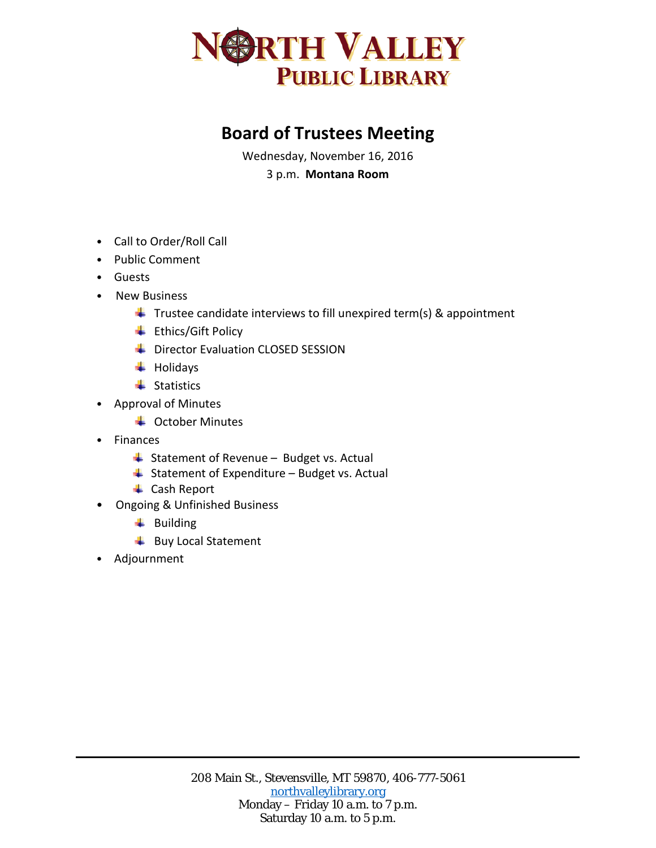

## **Board of Trustees Meeting**

Wednesday, November 16, 2016 3 p.m. **Montana Room**

- Call to Order/Roll Call
- Public Comment
- Guests
- New Business
	- $\ddot{\phantom{1}}$  Trustee candidate interviews to fill unexpired term(s) & appointment
	- $\ddot{\equiv}$  Ethics/Gift Policy
	- **Director Evaluation CLOSED SESSION**
	- $\ddot{\phantom{1}}$  Holidays
	- $\ddot{\bullet}$  Statistics
- Approval of Minutes
	- $\triangleq$  October Minutes
- Finances
	- $\frac{1}{2}$  Statement of Revenue Budget vs. Actual
	- $\triangleq$  Statement of Expenditure Budget vs. Actual
	- **↓** Cash Report
- Ongoing & Unfinished Business
	- $\ddot{ }$  Building
	- **Buy Local Statement**
- Adjournment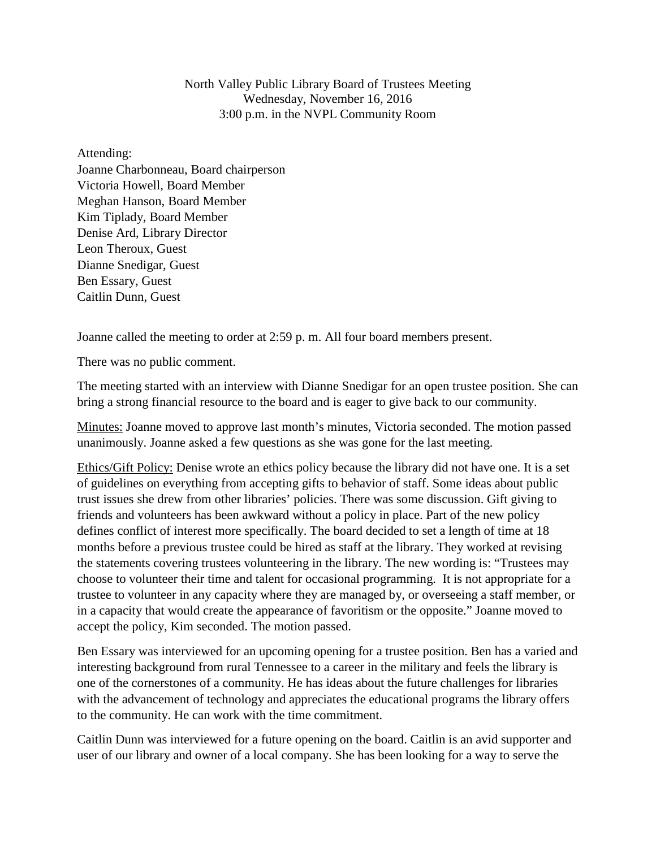North Valley Public Library Board of Trustees Meeting Wednesday, November 16, 2016 3:00 p.m. in the NVPL Community Room

Attending:

Joanne Charbonneau, Board chairperson Victoria Howell, Board Member Meghan Hanson, Board Member Kim Tiplady, Board Member Denise Ard, Library Director Leon Theroux, Guest Dianne Snedigar, Guest Ben Essary, Guest Caitlin Dunn, Guest

Joanne called the meeting to order at 2:59 p. m. All four board members present.

There was no public comment.

The meeting started with an interview with Dianne Snedigar for an open trustee position. She can bring a strong financial resource to the board and is eager to give back to our community.

Minutes: Joanne moved to approve last month's minutes, Victoria seconded. The motion passed unanimously. Joanne asked a few questions as she was gone for the last meeting.

Ethics/Gift Policy: Denise wrote an ethics policy because the library did not have one. It is a set of guidelines on everything from accepting gifts to behavior of staff. Some ideas about public trust issues she drew from other libraries' policies. There was some discussion. Gift giving to friends and volunteers has been awkward without a policy in place. Part of the new policy defines conflict of interest more specifically. The board decided to set a length of time at 18 months before a previous trustee could be hired as staff at the library. They worked at revising the statements covering trustees volunteering in the library. The new wording is: "Trustees may choose to volunteer their time and talent for occasional programming. It is not appropriate for a trustee to volunteer in any capacity where they are managed by, or overseeing a staff member, or in a capacity that would create the appearance of favoritism or the opposite." Joanne moved to accept the policy, Kim seconded. The motion passed.

Ben Essary was interviewed for an upcoming opening for a trustee position. Ben has a varied and interesting background from rural Tennessee to a career in the military and feels the library is one of the cornerstones of a community. He has ideas about the future challenges for libraries with the advancement of technology and appreciates the educational programs the library offers to the community. He can work with the time commitment.

Caitlin Dunn was interviewed for a future opening on the board. Caitlin is an avid supporter and user of our library and owner of a local company. She has been looking for a way to serve the